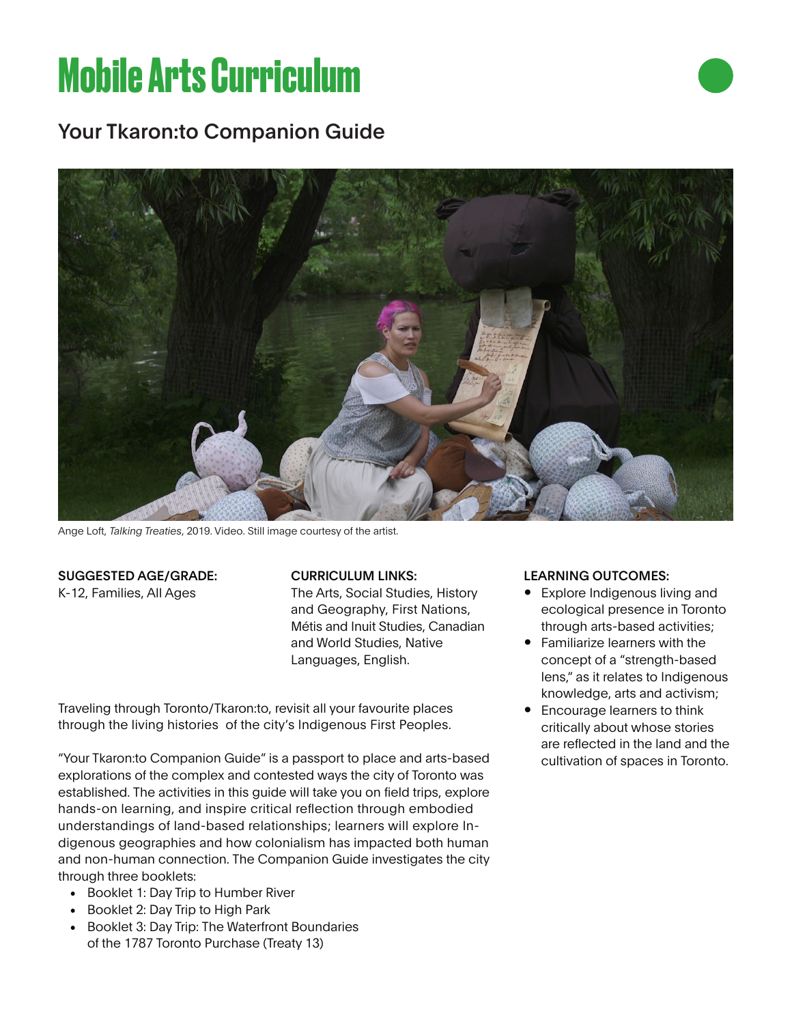# **Mobile Arts Curriculum**

## Your Tkaron:to Companion Guide



Ange Loft, *Talking Treaties*, 2019. Video. Still image courtesy of the artist.

#### SUGGESTED AGE/GRADE:

K-12, Families, All Ages

#### CURRICULUM LINKS:

The Arts, Social Studies, History and Geography, First Nations, Métis and Inuit Studies, Canadian and World Studies, Native Languages, English.

Traveling through Toronto/Tkaron:to, revisit all your favourite places through the living histories of the city's Indigenous First Peoples.

"Your Tkaron:to Companion Guide" is a passport to place and arts-based explorations of the complex and contested ways the city of Toronto was established. The activities in this guide will take you on field trips, explore hands-on learning, and inspire critical reflection through embodied understandings of land-based relationships; learners will explore Indigenous geographies and how colonialism has impacted both human and non-human connection. The Companion Guide investigates the city through three booklets:

- Booklet 1: Day Trip to Humber River
- Booklet 2: Day Trip to High Park
- Booklet 3: Day Trip: The Waterfront Boundaries of the 1787 Toronto Purchase (Treaty 13)

#### LEARNING OUTCOMES:

- Explore Indigenous living and ecological presence in Toronto through arts-based activities;
- Familiarize learners with the concept of a "strength-based lens," as it relates to Indigenous knowledge, arts and activism;
- Encourage learners to think critically about whose stories are reflected in the land and the cultivation of spaces in Toronto.